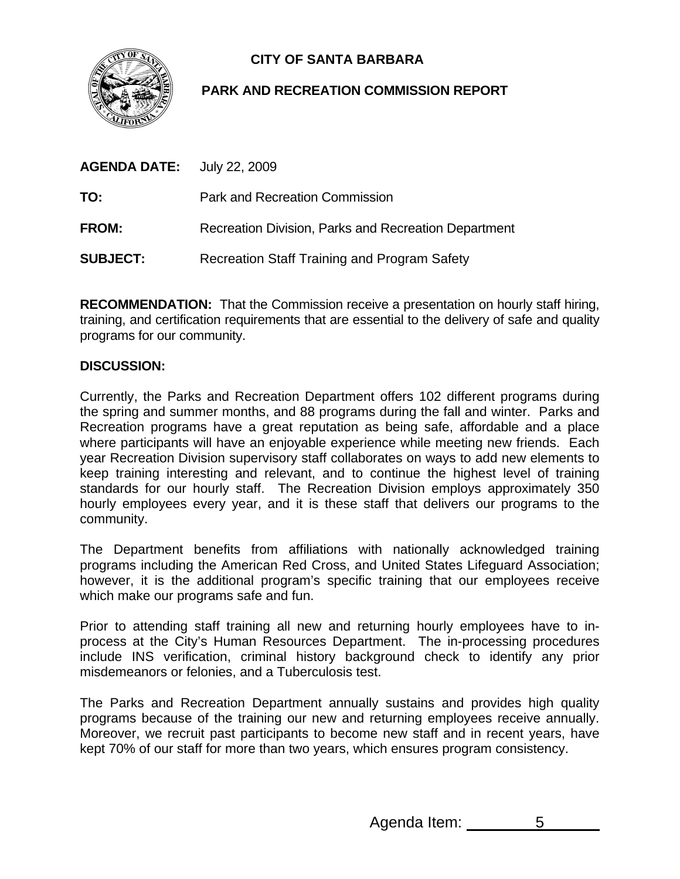

# **CITY OF SANTA BARBARA**

# **PARK AND RECREATION COMMISSION REPORT**

| <b>AGENDA DATE:</b> July 22, 2009 |                                                      |
|-----------------------------------|------------------------------------------------------|
| TO:                               | <b>Park and Recreation Commission</b>                |
| <b>FROM:</b>                      | Recreation Division, Parks and Recreation Department |
| <b>SUBJECT:</b>                   | Recreation Staff Training and Program Safety         |

**RECOMMENDATION:** That the Commission receive a presentation on hourly staff hiring, training, and certification requirements that are essential to the delivery of safe and quality programs for our community.

# **DISCUSSION:**

Currently, the Parks and Recreation Department offers 102 different programs during the spring and summer months, and 88 programs during the fall and winter. Parks and Recreation programs have a great reputation as being safe, affordable and a place where participants will have an enjoyable experience while meeting new friends. Each year Recreation Division supervisory staff collaborates on ways to add new elements to keep training interesting and relevant, and to continue the highest level of training standards for our hourly staff. The Recreation Division employs approximately 350 hourly employees every year, and it is these staff that delivers our programs to the community.

The Department benefits from affiliations with nationally acknowledged training programs including the American Red Cross, and United States Lifeguard Association; however, it is the additional program's specific training that our employees receive which make our programs safe and fun.

Prior to attending staff training all new and returning hourly employees have to inprocess at the City's Human Resources Department. The in-processing procedures include INS verification, criminal history background check to identify any prior misdemeanors or felonies, and a Tuberculosis test.

The Parks and Recreation Department annually sustains and provides high quality programs because of the training our new and returning employees receive annually. Moreover, we recruit past participants to become new staff and in recent years, have kept 70% of our staff for more than two years, which ensures program consistency.

Agenda Item: 5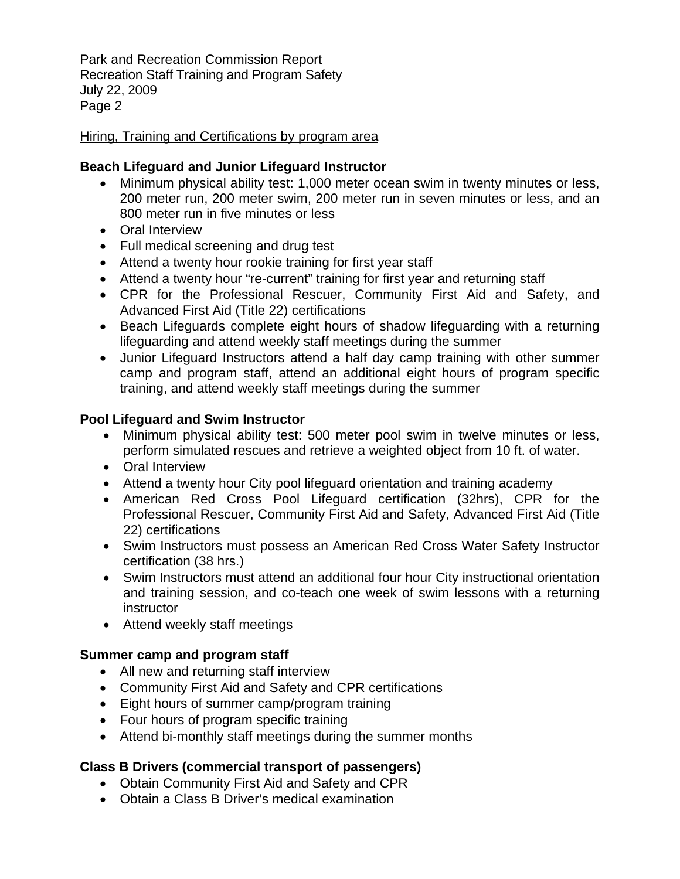Park and Recreation Commission Report Recreation Staff Training and Program Safety July 22, 2009 Page 2

### Hiring, Training and Certifications by program area

# **Beach Lifeguard and Junior Lifeguard Instructor**

- Minimum physical ability test: 1,000 meter ocean swim in twenty minutes or less, 200 meter run, 200 meter swim, 200 meter run in seven minutes or less, and an 800 meter run in five minutes or less
- Oral Interview
- Full medical screening and drug test
- Attend a twenty hour rookie training for first year staff
- Attend a twenty hour "re-current" training for first year and returning staff
- CPR for the Professional Rescuer, Community First Aid and Safety, and Advanced First Aid (Title 22) certifications
- Beach Lifeguards complete eight hours of shadow lifeguarding with a returning lifeguarding and attend weekly staff meetings during the summer
- Junior Lifeguard Instructors attend a half day camp training with other summer camp and program staff, attend an additional eight hours of program specific training, and attend weekly staff meetings during the summer

#### **Pool Lifeguard and Swim Instructor**

- Minimum physical ability test: 500 meter pool swim in twelve minutes or less, perform simulated rescues and retrieve a weighted object from 10 ft. of water.
- Oral Interview
- Attend a twenty hour City pool lifeguard orientation and training academy
- American Red Cross Pool Lifeguard certification (32hrs), CPR for the Professional Rescuer, Community First Aid and Safety, Advanced First Aid (Title 22) certifications
- Swim Instructors must possess an American Red Cross Water Safety Instructor certification (38 hrs.)
- Swim Instructors must attend an additional four hour City instructional orientation and training session, and co-teach one week of swim lessons with a returning instructor
- Attend weekly staff meetings

# **Summer camp and program staff**

- All new and returning staff interview
- Community First Aid and Safety and CPR certifications
- Eight hours of summer camp/program training
- Four hours of program specific training
- Attend bi-monthly staff meetings during the summer months

# **Class B Drivers (commercial transport of passengers)**

- Obtain Community First Aid and Safety and CPR
- Obtain a Class B Driver's medical examination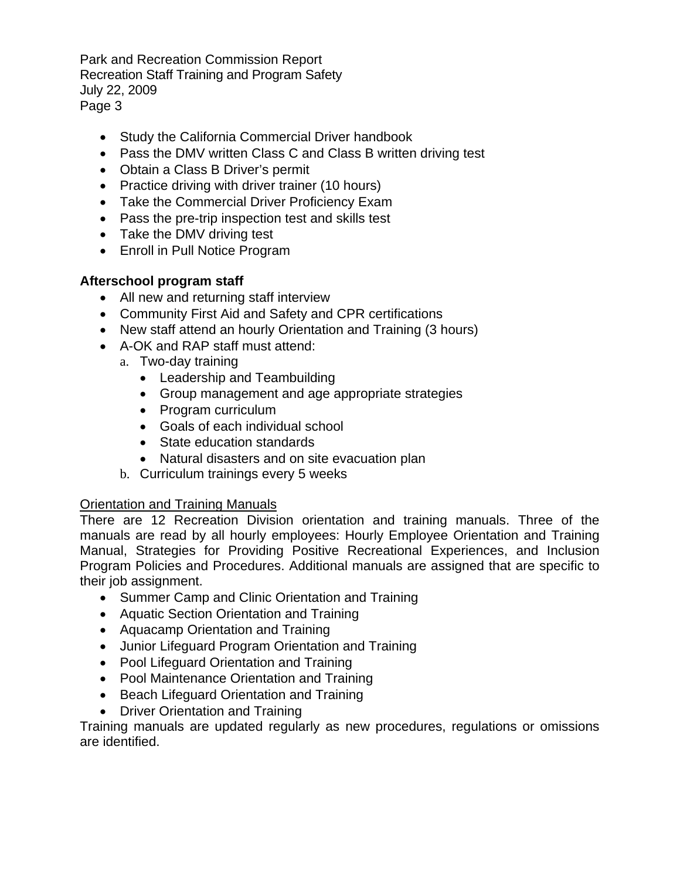Park and Recreation Commission Report Recreation Staff Training and Program Safety July 22, 2009 Page 3

- Study the California Commercial Driver handbook
- Pass the DMV written Class C and Class B written driving test
- Obtain a Class B Driver's permit
- Practice driving with driver trainer (10 hours)
- Take the Commercial Driver Proficiency Exam
- Pass the pre-trip inspection test and skills test
- Take the DMV driving test
- Enroll in Pull Notice Program

# **Afterschool program staff**

- All new and returning staff interview
- Community First Aid and Safety and CPR certifications
- New staff attend an hourly Orientation and Training (3 hours)
- A-OK and RAP staff must attend:
	- a. Two-day training
		- Leadership and Teambuilding
		- Group management and age appropriate strategies
		- Program curriculum
		- Goals of each individual school
		- State education standards
		- Natural disasters and on site evacuation plan
		- b. Curriculum trainings every 5 weeks

# Orientation and Training Manuals

There are 12 Recreation Division orientation and training manuals. Three of the manuals are read by all hourly employees: Hourly Employee Orientation and Training Manual, Strategies for Providing Positive Recreational Experiences, and Inclusion Program Policies and Procedures. Additional manuals are assigned that are specific to their job assignment.

- Summer Camp and Clinic Orientation and Training
- Aquatic Section Orientation and Training
- Aquacamp Orientation and Training
- Junior Lifeguard Program Orientation and Training
- Pool Lifeguard Orientation and Training
- Pool Maintenance Orientation and Training
- Beach Lifeguard Orientation and Training
- Driver Orientation and Training

Training manuals are updated regularly as new procedures, regulations or omissions are identified.